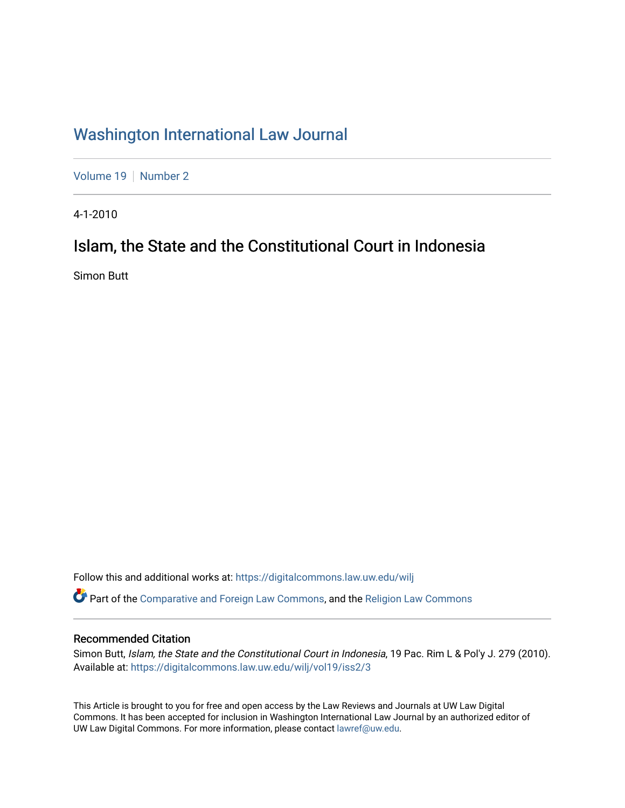## [Washington International Law Journal](https://digitalcommons.law.uw.edu/wilj)

[Volume 19](https://digitalcommons.law.uw.edu/wilj/vol19) | [Number 2](https://digitalcommons.law.uw.edu/wilj/vol19/iss2)

4-1-2010

# Islam, the State and the Constitutional Court in Indonesia

Simon Butt

Follow this and additional works at: [https://digitalcommons.law.uw.edu/wilj](https://digitalcommons.law.uw.edu/wilj?utm_source=digitalcommons.law.uw.edu%2Fwilj%2Fvol19%2Fiss2%2F3&utm_medium=PDF&utm_campaign=PDFCoverPages) 

Part of the [Comparative and Foreign Law Commons,](http://network.bepress.com/hgg/discipline/836?utm_source=digitalcommons.law.uw.edu%2Fwilj%2Fvol19%2Fiss2%2F3&utm_medium=PDF&utm_campaign=PDFCoverPages) and the [Religion Law Commons](http://network.bepress.com/hgg/discipline/872?utm_source=digitalcommons.law.uw.edu%2Fwilj%2Fvol19%2Fiss2%2F3&utm_medium=PDF&utm_campaign=PDFCoverPages) 

### Recommended Citation

Simon Butt, Islam, the State and the Constitutional Court in Indonesia, 19 Pac. Rim L & Pol'y J. 279 (2010). Available at: [https://digitalcommons.law.uw.edu/wilj/vol19/iss2/3](https://digitalcommons.law.uw.edu/wilj/vol19/iss2/3?utm_source=digitalcommons.law.uw.edu%2Fwilj%2Fvol19%2Fiss2%2F3&utm_medium=PDF&utm_campaign=PDFCoverPages) 

This Article is brought to you for free and open access by the Law Reviews and Journals at UW Law Digital Commons. It has been accepted for inclusion in Washington International Law Journal by an authorized editor of UW Law Digital Commons. For more information, please contact [lawref@uw.edu](mailto:lawref@uw.edu).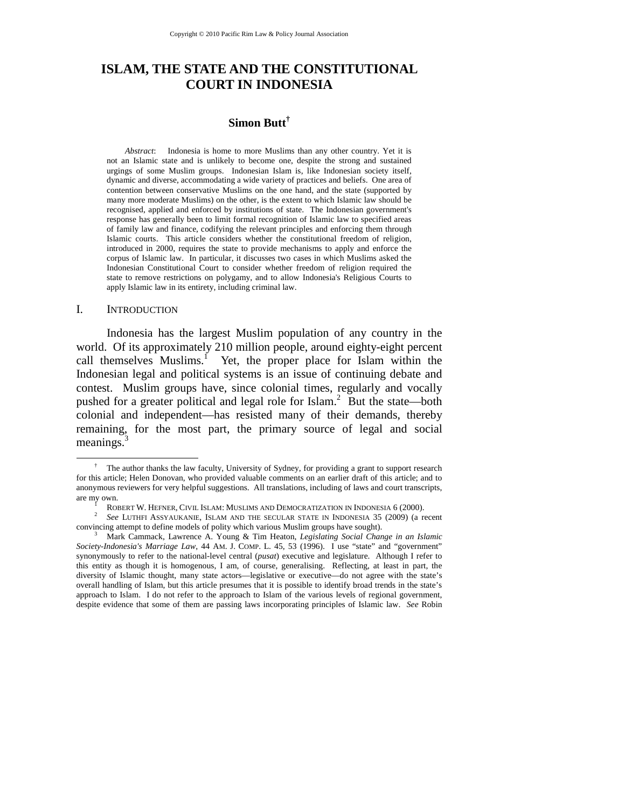## **ISLAM, THE STATE AND THE CONSTITUTIONAL COURT IN INDONESIA**

## **Simon Butt†**

*Abstract*: Indonesia is home to more Muslims than any other country. Yet it is not an Islamic state and is unlikely to become one, despite the strong and sustained urgings of some Muslim groups. Indonesian Islam is, like Indonesian society itself, dynamic and diverse, accommodating a wide variety of practices and beliefs. One area of contention between conservative Muslims on the one hand, and the state (supported by many more moderate Muslims) on the other, is the extent to which Islamic law should be recognised, applied and enforced by institutions of state. The Indonesian government's response has generally been to limit formal recognition of Islamic law to specified areas of family law and finance, codifying the relevant principles and enforcing them through Islamic courts. This article considers whether the constitutional freedom of religion, introduced in 2000, requires the state to provide mechanisms to apply and enforce the corpus of Islamic law. In particular, it discusses two cases in which Muslims asked the Indonesian Constitutional Court to consider whether freedom of religion required the state to remove restrictions on polygamy, and to allow Indonesia's Religious Courts to apply Islamic law in its entirety, including criminal law.

#### I. INTRODUCTION

Indonesia has the largest Muslim population of any country in the world. Of its approximately 210 million people, around eighty-eight percent call themselves Muslims.<sup>1</sup> Yet, the proper place for Islam within the Indonesian legal and political systems is an issue of continuing debate and contest. Muslim groups have, since colonial times, regularly and vocally pushed for a greater political and legal role for Islam.<sup>2</sup> But the state—both colonial and independent—has resisted many of their demands, thereby remaining, for the most part, the primary source of legal and social meanings. $3$ 

 <sup>†</sup>  $\dagger$  The author thanks the law faculty, University of Sydney, for providing a grant to support research for this article; Helen Donovan, who provided valuable comments on an earlier draft of this article; and to anonymous reviewers for very helpful suggestions. All translations, including of laws and court transcripts, are my own.<br><sup>1</sup> ROBERT W. HEFNER, CIVIL ISLAM: MUSLIMS AND DEMOCRATIZATION IN INDONESIA 6 (2000).

ROBERT W. HEFNER, CIVIL ISLAM: MUSLIMS AND DEMOCRATIZATION IN INDONESIA 6 (2000). 2 *See* LUTHFI ASSYAUKANIE, ISLAM AND THE SECULAR STATE IN INDONESIA 35 (2009) (a recent convincing attempt to define models of polity which various Muslim groups have sought).

Mark Cammack, Lawrence A. Young & Tim Heaton, *Legislating Social Change in an Islamic Society-Indonesia's Marriage Law*, 44 AM. J. COMP. L. 45, 53 (1996). I use "state" and "government" synonymously to refer to the national-level central (*pusat*) executive and legislature. Although I refer to this entity as though it is homogenous, I am, of course, generalising. Reflecting, at least in part, the diversity of Islamic thought, many state actors—legislative or executive—do not agree with the state's overall handling of Islam, but this article presumes that it is possible to identify broad trends in the state's approach to Islam. I do not refer to the approach to Islam of the various levels of regional government, despite evidence that some of them are passing laws incorporating principles of Islamic law. *See* Robin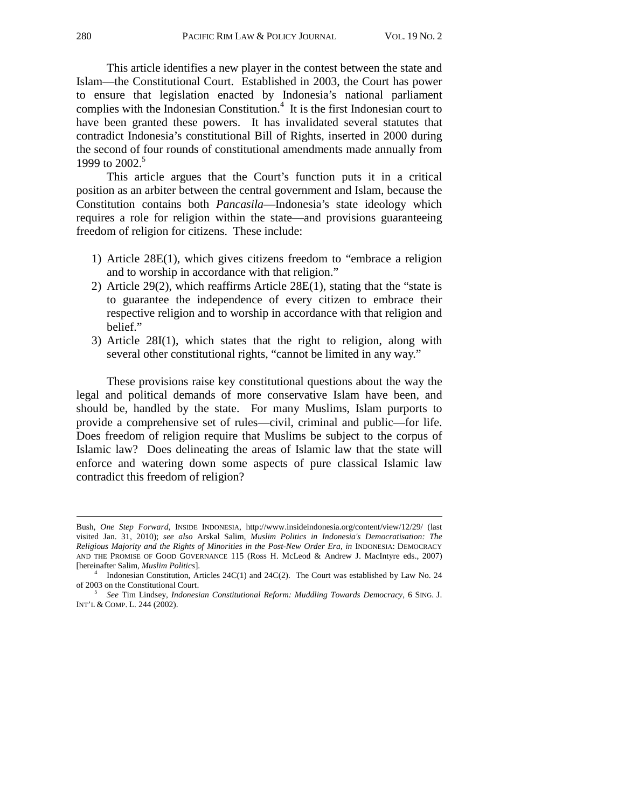This article identifies a new player in the contest between the state and Islam—the Constitutional Court. Established in 2003, the Court has power to ensure that legislation enacted by Indonesia's national parliament complies with the Indonesian Constitution.<sup>4</sup> It is the first Indonesian court to have been granted these powers. It has invalidated several statutes that contradict Indonesia's constitutional Bill of Rights, inserted in 2000 during the second of four rounds of constitutional amendments made annually from 1999 to 2002.<sup>5</sup>

This article argues that the Court's function puts it in a critical position as an arbiter between the central government and Islam, because the Constitution contains both *Pancasila*—Indonesia's state ideology which requires a role for religion within the state—and provisions guaranteeing freedom of religion for citizens. These include:

- 1) Article 28E(1), which gives citizens freedom to "embrace a religion and to worship in accordance with that religion."
- 2) Article 29(2), which reaffirms Article 28E(1), stating that the "state is to guarantee the independence of every citizen to embrace their respective religion and to worship in accordance with that religion and belief."
- 3) Article 28I(1), which states that the right to religion, along with several other constitutional rights, "cannot be limited in any way."

These provisions raise key constitutional questions about the way the legal and political demands of more conservative Islam have been, and should be, handled by the state. For many Muslims, Islam purports to provide a comprehensive set of rules—civil, criminal and public—for life. Does freedom of religion require that Muslims be subject to the corpus of Islamic law? Does delineating the areas of Islamic law that the state will enforce and watering down some aspects of pure classical Islamic law contradict this freedom of religion?

l

Bush, *One Step Forward*, INSIDE INDONESIA, http://www.insideindonesia.org/content/view/12/29/ (last visited Jan. 31, 2010); *see also* Arskal Salim, *Muslim Politics in Indonesia's Democratisation: The Religious Majority and the Rights of Minorities in the Post-New Order Era*, *in* INDONESIA: DEMOCRACY AND THE PROMISE OF GOOD GOVERNANCE 115 (Ross H. McLeod & Andrew J. MacIntyre eds., 2007) [hereinafter Salim, *Muslim Politics*]. 4

<sup>&</sup>lt;sup>4</sup> Indonesian Constitution, Articles 24C(1) and 24C(2). The Court was established by Law No. 24 of 2003 on the Constitutional Court.

of 2003 on the Constitutional Court. 5 *See* Tim Lindsey, *Indonesian Constitutional Reform: Muddling Towards Democracy*, 6 SING. J. INT'L & COMP. L. 244 (2002).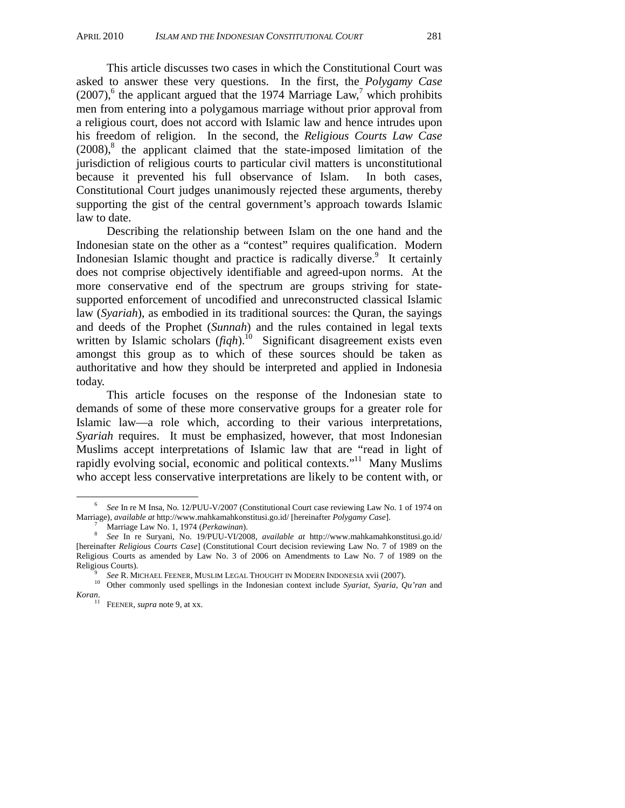This article discusses two cases in which the Constitutional Court was asked to answer these very questions. In the first, the *Polygamy Case*  $(2007)$ <sup>6</sup>, the applicant argued that the 1974 Marriage Law,<sup>7</sup> which prohibits men from entering into a polygamous marriage without prior approval from a religious court, does not accord with Islamic law and hence intrudes upon his freedom of religion. In the second, the *Religious Courts Law Case*  $(2008)$ ,<sup>8</sup> the applicant claimed that the state-imposed limitation of the jurisdiction of religious courts to particular civil matters is unconstitutional because it prevented his full observance of Islam. In both cases, Constitutional Court judges unanimously rejected these arguments, thereby supporting the gist of the central government's approach towards Islamic law to date.

Describing the relationship between Islam on the one hand and the Indonesian state on the other as a "contest" requires qualification. Modern Indonesian Islamic thought and practice is radically diverse.<sup>9</sup> It certainly does not comprise objectively identifiable and agreed-upon norms. At the more conservative end of the spectrum are groups striving for statesupported enforcement of uncodified and unreconstructed classical Islamic law (*Syariah*), as embodied in its traditional sources: the Quran, the sayings and deeds of the Prophet (*Sunnah*) and the rules contained in legal texts written by Islamic scholars (*figh*).<sup>10</sup> Significant disagreement exists even amongst this group as to which of these sources should be taken as authoritative and how they should be interpreted and applied in Indonesia today.

This article focuses on the response of the Indonesian state to demands of some of these more conservative groups for a greater role for Islamic law—a role which, according to their various interpretations, *Syariah* requires. It must be emphasized, however, that most Indonesian Muslims accept interpretations of Islamic law that are "read in light of rapidly evolving social, economic and political contexts."<sup>11</sup> Many Muslims who accept less conservative interpretations are likely to be content with, or

 <sup>6</sup> *See* In re M Insa, No. 12/PUU-V/2007 (Constitutional Court case reviewing Law No. 1 of 1974 on Marriage), *available at* http://www.mahkamahkonstitusi.go.id/ [hereinafter *Polygamy Case*]. 7

<sup>8</sup> *See In re Suryani, No. 19/PUU-VI/2008, <i>available at http://www.mahkamahkonstitusi.go.id/* [hereinafter *Religious Courts Case*] (Constitutional Court decision reviewing Law No. 7 of 1989 on the Religious Courts as amended by Law No. 3 of 2006 on Amendments to Law No. 7 of 1989 on the

<sup>&</sup>lt;sup>9</sup> *See* R. MICHAEL FEENER, MUSLIM LEGAL THOUGHT IN MODERN INDONESIA xvii (2007). 10 Other commonly used spellings in the Indonesian context include *Syariat*, *Syaria*, *Qu'ran* and *Koran*.

<sup>&</sup>lt;sup>11</sup> FEENER, *supra* note 9, at xx.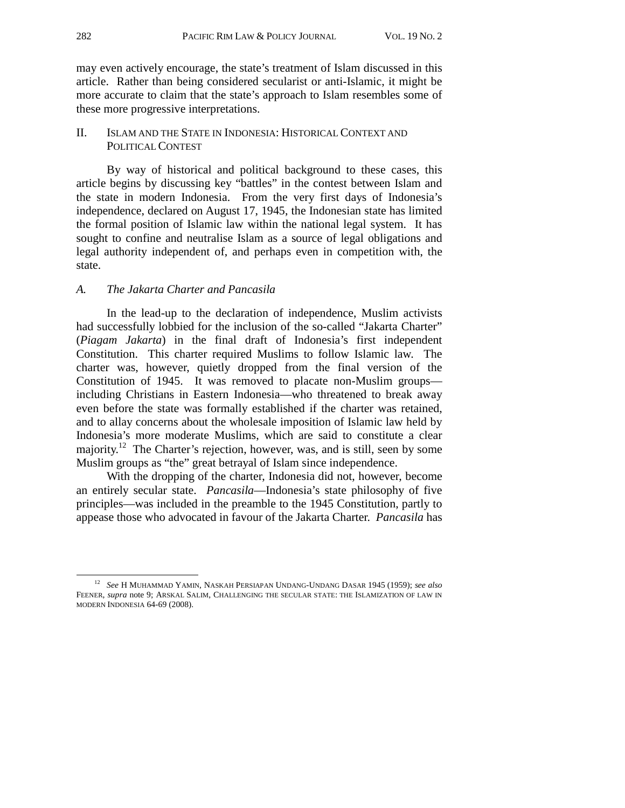may even actively encourage, the state's treatment of Islam discussed in this article. Rather than being considered secularist or anti-Islamic, it might be more accurate to claim that the state's approach to Islam resembles some of these more progressive interpretations.

## II. ISLAM AND THE STATE IN INDONESIA: HISTORICAL CONTEXT AND POLITICAL CONTEST

By way of historical and political background to these cases, this article begins by discussing key "battles" in the contest between Islam and the state in modern Indonesia. From the very first days of Indonesia's independence, declared on August 17, 1945, the Indonesian state has limited the formal position of Islamic law within the national legal system. It has sought to confine and neutralise Islam as a source of legal obligations and legal authority independent of, and perhaps even in competition with, the state.

## *A. The Jakarta Charter and Pancasila*

In the lead-up to the declaration of independence, Muslim activists had successfully lobbied for the inclusion of the so-called "Jakarta Charter" (*Piagam Jakarta*) in the final draft of Indonesia's first independent Constitution. This charter required Muslims to follow Islamic law. The charter was, however, quietly dropped from the final version of the Constitution of 1945. It was removed to placate non-Muslim groups including Christians in Eastern Indonesia—who threatened to break away even before the state was formally established if the charter was retained, and to allay concerns about the wholesale imposition of Islamic law held by Indonesia's more moderate Muslims, which are said to constitute a clear majority.<sup>12</sup> The Charter's rejection, however, was, and is still, seen by some Muslim groups as "the" great betrayal of Islam since independence.

With the dropping of the charter, Indonesia did not, however, become an entirely secular state. *Pancasila*—Indonesia's state philosophy of five principles—was included in the preamble to the 1945 Constitution, partly to appease those who advocated in favour of the Jakarta Charter. *Pancasila* has

 <sup>12</sup> *See* <sup>H</sup> MUHAMMAD YAMIN, NASKAH PERSIAPAN UNDANG-UNDANG DASAR 1945 (1959); *see also*  FEENER, *supra* note 9; ARSKAL SALIM, CHALLENGING THE SECULAR STATE: THE ISLAMIZATION OF LAW IN MODERN INDONESIA 64-69 (2008).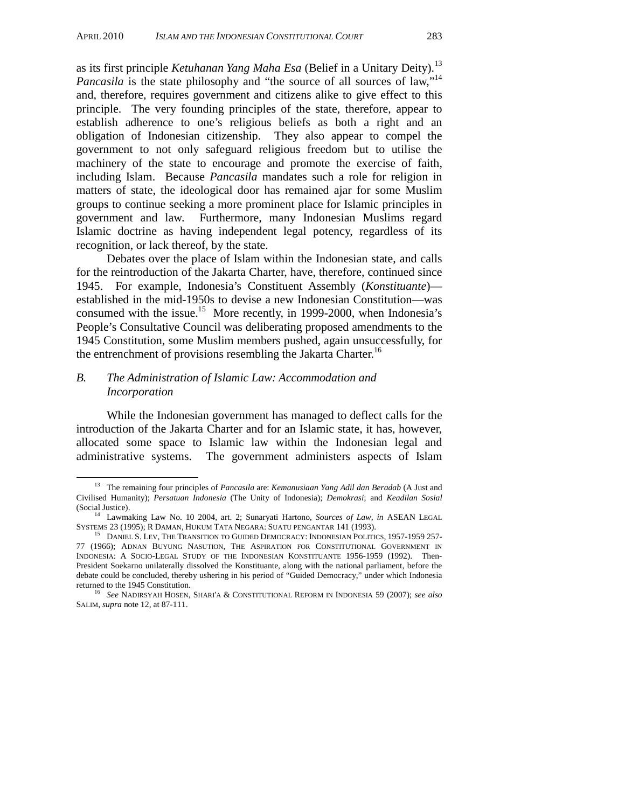as its first principle *Ketuhanan Yang Maha Esa* (Belief in a Unitary Deity).<sup>13</sup> *Pancasila* is the state philosophy and "the source of all sources of law,"<sup>14</sup> and, therefore, requires government and citizens alike to give effect to this principle. The very founding principles of the state, therefore, appear to establish adherence to one's religious beliefs as both a right and an obligation of Indonesian citizenship. They also appear to compel the government to not only safeguard religious freedom but to utilise the machinery of the state to encourage and promote the exercise of faith, including Islam. Because *Pancasila* mandates such a role for religion in matters of state, the ideological door has remained ajar for some Muslim groups to continue seeking a more prominent place for Islamic principles in government and law. Furthermore, many Indonesian Muslims regard Islamic doctrine as having independent legal potency, regardless of its recognition, or lack thereof, by the state.

Debates over the place of Islam within the Indonesian state, and calls for the reintroduction of the Jakarta Charter, have, therefore, continued since 1945. For example, Indonesia's Constituent Assembly (*Konstituante*) established in the mid-1950s to devise a new Indonesian Constitution—was consumed with the issue.<sup>15</sup> More recently, in 1999-2000, when Indonesia's People's Consultative Council was deliberating proposed amendments to the 1945 Constitution, some Muslim members pushed, again unsuccessfully, for the entrenchment of provisions resembling the Jakarta Charter.<sup>16</sup>

## *B. The Administration of Islamic Law: Accommodation and Incorporation*

While the Indonesian government has managed to deflect calls for the introduction of the Jakarta Charter and for an Islamic state, it has, however, allocated some space to Islamic law within the Indonesian legal and administrative systems. The government administers aspects of Islam

 <sup>13</sup> The remaining four principles of *Pancasila* are: *Kemanusiaan Yang Adil dan Beradab* (A Just and Civilised Humanity); *Persatuan Indonesia* (The Unity of Indonesia); *Demokrasi*; and *Keadilan Sosial* 

<sup>(</sup>Social Justice). <sup>14</sup> Lawmaking Law No. 10 2004, art. 2; Sunaryati Hartono, *Sources of Law*, *in* ASEAN LEGAL SYSTEMS 23 (1995); R DAMAN, HUKUM TATA NEGARA: SUATU PENGANTAR 141 (1993).

<sup>&</sup>lt;sup>15</sup> DANIEL S. LEV, THE TRANSITION TO GUIDED DEMOCRACY: INDONESIAN POLITICS, 1957-1959 257-77 (1966); ADNAN BUYUNG NASUTION, THE ASPIRATION FOR CONSTITUTIONAL GOVERNMENT IN INDONESIA: A SOCIO-LEGAL STUDY OF THE INDONESIAN KONSTITUANTE 1956-1959 (1992). Then-President Soekarno unilaterally dissolved the Konstituante, along with the national parliament, before the debate could be concluded, thereby ushering in his period of "Guided Democracy," under which Indonesia

<sup>&</sup>lt;sup>16</sup> See NADIRSYAH HOSEN, SHARI'A & CONSTITUTIONAL REFORM IN INDONESIA 59 (2007); see also SALIM, *supra* note 12, at 87-111.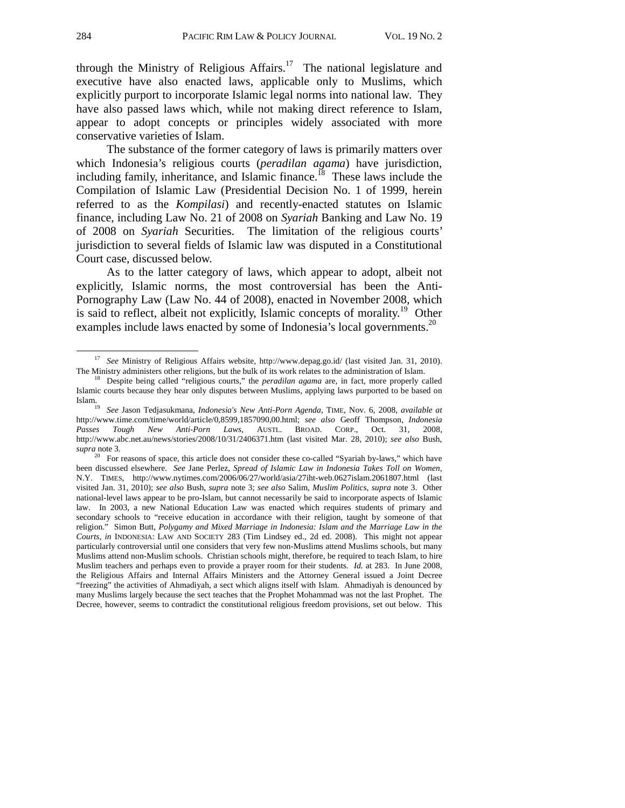through the Ministry of Religious Affairs.<sup>17</sup> The national legislature and executive have also enacted laws, applicable only to Muslims, which explicitly purport to incorporate Islamic legal norms into national law. They have also passed laws which, while not making direct reference to Islam, appear to adopt concepts or principles widely associated with more conservative varieties of Islam.

The substance of the former category of laws is primarily matters over which Indonesia's religious courts (*peradilan agama*) have jurisdiction, including family, inheritance, and Islamic finance.<sup>18</sup> These laws include the Compilation of Islamic Law (Presidential Decision No. 1 of 1999, herein referred to as the *Kompilasi*) and recently-enacted statutes on Islamic finance, including Law No. 21 of 2008 on *Syariah* Banking and Law No. 19 of 2008 on *Syariah* Securities. The limitation of the religious courts' jurisdiction to several fields of Islamic law was disputed in a Constitutional Court case, discussed below.

As to the latter category of laws, which appear to adopt, albeit not explicitly, Islamic norms, the most controversial has been the Anti-Pornography Law (Law No. 44 of 2008), enacted in November 2008, which is said to reflect, albeit not explicitly, Islamic concepts of morality.<sup>19</sup> Other examples include laws enacted by some of Indonesia's local governments.<sup>20</sup>

 <sup>17</sup> *See* Ministry of Religious Affairs website, http://www.depag.go.id/ (last visited Jan. 31, 2010). The Ministry administers other religions, but the bulk of its work relates to the administration of Islam. 18 Despite being called "religious courts," the *peradilan agama* are, in fact, more properly called

Islamic courts because they hear only disputes between Muslims, applying laws purported to be based on Islam. 19 *See* Jason Tedjasukmana, *Indonesia's New Anti-Porn Agenda*, TIME, Nov. 6, 2008, *available at* 

http://www.time.com/time/world/article/0,8599,1857090,00.html; *see also* Geoff Thompson, *Indonesia Passes Tough New Anti-Porn Laws*, AUSTL. BROAD. CORP., Oct. 31, 2008, http://www.abc.net.au/news/stories/2008/10/31/2406371.htm (last visited Mar. 28, 2010); *see also* Bush, *supra* note 3.

<sup>&</sup>lt;sup>20</sup> For reasons of space, this article does not consider these co-called "Syariah by-laws," which have been discussed elsewhere. *See* Jane Perlez, *Spread of Islamic Law in Indonesia Takes Toll on Women,* N.Y. TIMES, http://www.nytimes.com/2006/06/27/world/asia/27iht-web.0627islam.2061807.html (last visited Jan. 31, 2010); *see also* Bush, *supra* note 3; *see also* Salim, *Muslim Politics*, *supra* note 3. Other national-level laws appear to be pro-Islam, but cannot necessarily be said to incorporate aspects of Islamic law. In 2003, a new National Education Law was enacted which requires students of primary and secondary schools to "receive education in accordance with their religion, taught by someone of that religion." Simon Butt, *Polygamy and Mixed Marriage in Indonesia: Islam and the Marriage Law in the Courts*, *in* INDONESIA: LAW AND SOCIETY 283 (Tim Lindsey ed., 2d ed. 2008). This might not appear particularly controversial until one considers that very few non-Muslims attend Muslims schools, but many Muslims attend non-Muslim schools. Christian schools might, therefore, be required to teach Islam, to hire Muslim teachers and perhaps even to provide a prayer room for their students. *Id.* at 283. In June 2008, the Religious Affairs and Internal Affairs Ministers and the Attorney General issued a Joint Decree "freezing" the activities of Ahmadiyah, a sect which aligns itself with Islam. Ahmadiyah is denounced by many Muslims largely because the sect teaches that the Prophet Mohammad was not the last Prophet. The Decree, however, seems to contradict the constitutional religious freedom provisions, set out below. This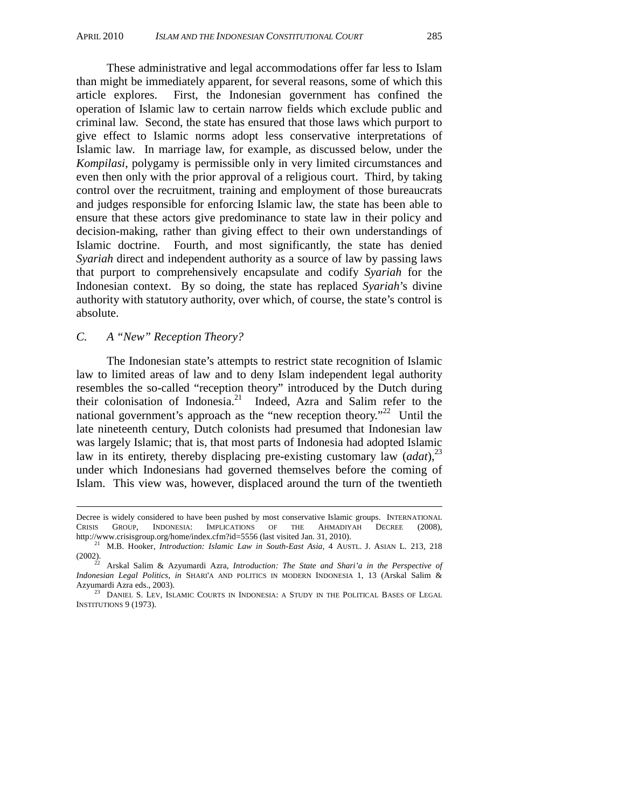These administrative and legal accommodations offer far less to Islam than might be immediately apparent, for several reasons, some of which this article explores. First, the Indonesian government has confined the operation of Islamic law to certain narrow fields which exclude public and criminal law. Second, the state has ensured that those laws which purport to give effect to Islamic norms adopt less conservative interpretations of Islamic law. In marriage law, for example, as discussed below, under the *Kompilasi*, polygamy is permissible only in very limited circumstances and even then only with the prior approval of a religious court. Third, by taking control over the recruitment, training and employment of those bureaucrats and judges responsible for enforcing Islamic law, the state has been able to ensure that these actors give predominance to state law in their policy and decision-making, rather than giving effect to their own understandings of Islamic doctrine. Fourth, and most significantly, the state has denied *Syariah* direct and independent authority as a source of law by passing laws that purport to comprehensively encapsulate and codify *Syariah* for the Indonesian context. By so doing, the state has replaced *Syariah*'s divine authority with statutory authority, over which, of course, the state's control is absolute.

## *C. A "New" Reception Theory?*

l

The Indonesian state's attempts to restrict state recognition of Islamic law to limited areas of law and to deny Islam independent legal authority resembles the so-called "reception theory" introduced by the Dutch during their colonisation of Indonesia.<sup>21</sup> Indeed, Azra and Salim refer to the national government's approach as the "new reception theory."<sup>22</sup> Until the late nineteenth century, Dutch colonists had presumed that Indonesian law was largely Islamic; that is, that most parts of Indonesia had adopted Islamic law in its entirety, thereby displacing pre-existing customary law  $(ada t)$ ,  $2<sup>3</sup>$ under which Indonesians had governed themselves before the coming of Islam. This view was, however, displaced around the turn of the twentieth

Decree is widely considered to have been pushed by most conservative Islamic groups. INTERNATIONAL CRISIS GROUP, INDONESIA: IMPLICATIONS OF THE AHMADIYAH DECREE (2008), http://www.crisisgroup.org/home/index.cfm?id=5556 (last visited Jan. 31, 2010).

<sup>&</sup>lt;sup>21</sup> M.B. Hooker, *Introduction: Islamic Law in South-East Asia*, 4 AUSTL. J. ASIAN L. 213, 218

<sup>(2002). 22</sup> Arskal Salim & Azyumardi Azra, *Introduction: The State and Shari'a in the Perspective of Indonesian Legal Politics*, *in* SHARI'A AND POLITICS IN MODERN INDONESIA 1, 13 (Arskal Salim & Azyumardi Azra eds., 2003). 23 DANIEL S. LEV, ISLAMIC COURTS IN INDONESIA: A STUDY IN THE POLITICAL BASES OF LEGAL

INSTITUTIONS 9 (1973).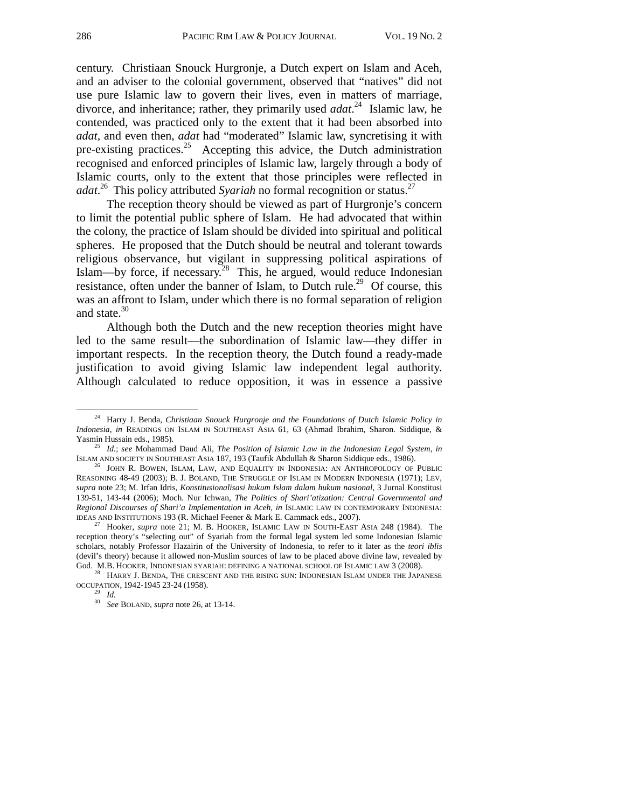century. Christiaan Snouck Hurgronje, a Dutch expert on Islam and Aceh, and an adviser to the colonial government, observed that "natives" did not use pure Islamic law to govern their lives, even in matters of marriage, divorce, and inheritance; rather, they primarily used *adat*. 24 Islamic law, he contended, was practiced only to the extent that it had been absorbed into *adat,* and even then, *adat* had "moderated" Islamic law, syncretising it with pre-existing practices.<sup>25</sup> Accepting this advice, the Dutch administration recognised and enforced principles of Islamic law, largely through a body of Islamic courts, only to the extent that those principles were reflected in *adat*. 26 This policy attributed *Syariah* no formal recognition or status.27

The reception theory should be viewed as part of Hurgronje's concern to limit the potential public sphere of Islam. He had advocated that within the colony, the practice of Islam should be divided into spiritual and political spheres. He proposed that the Dutch should be neutral and tolerant towards religious observance, but vigilant in suppressing political aspirations of Islam—by force, if necessary.<sup>28</sup> This, he argued, would reduce Indonesian resistance, often under the banner of Islam, to Dutch rule.<sup>29</sup> Of course, this was an affront to Islam, under which there is no formal separation of religion and state.<sup>30</sup>

Although both the Dutch and the new reception theories might have led to the same result—the subordination of Islamic law—they differ in important respects. In the reception theory, the Dutch found a ready-made justification to avoid giving Islamic law independent legal authority. Although calculated to reduce opposition, it was in essence a passive

<sup>&</sup>lt;sup>24</sup> Harry J. Benda, *Christiaan Snouck Hurgronje and the Foundations of Dutch Islamic Policy in Indonesia*, *in* READINGS ON ISLAM IN SOUTHEAST ASIA 61, 63 (Ahmad Ibrahim, Sharon. Siddique, &

Yasmin Hussain eds., 1985).<br><sup>25</sup> *Id.*; *see* Mohammad Daud Ali, *The Position of Islamic Law in the Indonesian Legal System, <i>in*<br>ISLAM AND SOCIETY IN SOUTHEAST ASIA 187, 193 (Taufik Abdullah & Sharon Siddique eds., 1986)

<sup>&</sup>lt;sup>26</sup> JOHN R. BOWEN, ISLAM, LAW, AND EQUALITY IN INDONESIA: AN ANTHROPOLOGY OF PUBLIC REASONING 48-49 (2003); B. J. BOLAND, THE STRUGGLE OF ISLAM IN MODERN INDONESIA (1971); LEV, *supra* note 23; M. Irfan Idris, *Konstitusionalisasi hukum Islam dalam hukum nasional*, 3 Jurnal Konstitusi 139-51, 143-44 (2006); Moch. Nur Ichwan, *The Politics of Shari'atization: Central Governmental and Regional Discourses of Shari'a Implementation in Aceh*, *in* ISLAMIC LAW IN CONTEMPORARY INDONESIA:

Hooker, *supra* note 21; M. B. HOOKER, ISLAMIC LAW IN SOUTH-EAST ASIA 248 (1984). The reception theory's "selecting out" of Syariah from the formal legal system led some Indonesian Islamic scholars, notably Professor Hazairin of the University of Indonesia, to refer to it later as the *teori iblis* (devil's theory) because it allowed non-Muslim sources of law to be placed above divine law, revealed by

 $^{28}\,$  HARRY J. BENDA, THE CRESCENT AND THE RISING SUN: INDONESIAN ISLAM UNDER THE JAPANESE OCCUPATION, 1942-1945 $23\text{-}24$  (1958).

<sup>&</sup>lt;sup>29</sup> *Id.*<br><sup>30</sup> *See* BOLAND, *supra* note 26, at 13-14.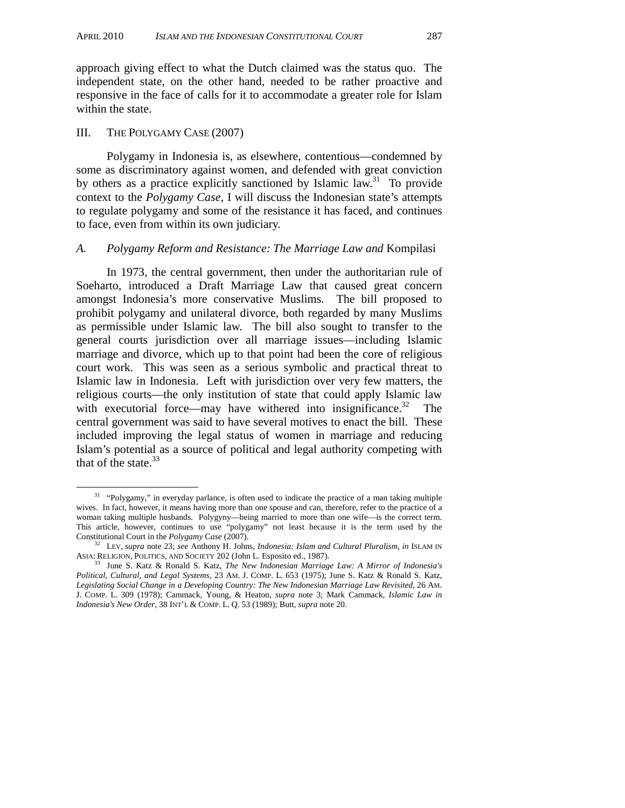approach giving effect to what the Dutch claimed was the status quo. The independent state, on the other hand, needed to be rather proactive and responsive in the face of calls for it to accommodate a greater role for Islam within the state.

#### III. THE POLYGAMY CASE (2007)

Polygamy in Indonesia is, as elsewhere, contentious—condemned by some as discriminatory against women, and defended with great conviction by others as a practice explicitly sanctioned by Islamic law.<sup>31</sup> To provide context to the *Polygamy Case*, I will discuss the Indonesian state's attempts to regulate polygamy and some of the resistance it has faced, and continues to face, even from within its own judiciary.

#### *A. Polygamy Reform and Resistance: The Marriage Law and* Kompilasi

In 1973, the central government, then under the authoritarian rule of Soeharto, introduced a Draft Marriage Law that caused great concern amongst Indonesia's more conservative Muslims. The bill proposed to prohibit polygamy and unilateral divorce, both regarded by many Muslims as permissible under Islamic law. The bill also sought to transfer to the general courts jurisdiction over all marriage issues—including Islamic marriage and divorce, which up to that point had been the core of religious court work. This was seen as a serious symbolic and practical threat to Islamic law in Indonesia. Left with jurisdiction over very few matters, the religious courts—the only institution of state that could apply Islamic law with executorial force—may have withered into insignificance.<sup>32</sup> The central government was said to have several motives to enact the bill. These included improving the legal status of women in marriage and reducing Islam's potential as a source of political and legal authority competing with that of the state. $33$ 

<sup>&</sup>lt;sup>31</sup> "Polygamy," in everyday parlance, is often used to indicate the practice of a man taking multiple wives. In fact, however, it means having more than one spouse and can, therefore, refer to the practice of a woman taking multiple husbands. Polygyny—being married to more than one wife—is the correct term. This article, however, continues to use "polygamy" not least because it is the term used by the Constitutional Court in the *Polygamy Case* (2007).

<sup>&</sup>lt;sup>32</sup> LEV, *supra* note 23; *see* Anthony H. Johns, *Indonesia: Islam and Cultural Pluralism*, *in* ISLAM IN ASIA: RELIGION, POLITICS, AND SOCIETY 202 (John L. Esposito ed., 1987).<br><sup>33</sup> June S. Katz & Ronald S. Katz, *The New Indonesian Marriage Law: A Mirror of Indonesia's* 

*Political, Cultural, and Legal Systems*, 23 AM. J. COMP. L. 653 (1975); June S. Katz & Ronald S. Katz, *Legislating Social Change in a Developing Country: The New Indonesian Marriage Law Revisited*, 26 AM. J. COMP. L. 309 (1978); Cammack, Young, & Heaton, *supra* note 3; Mark Cammack, *Islamic Law in Indonesia's New Order*, 38 INT'L & COMP. L. Q. 53 (1989); Butt, *supra* note 20.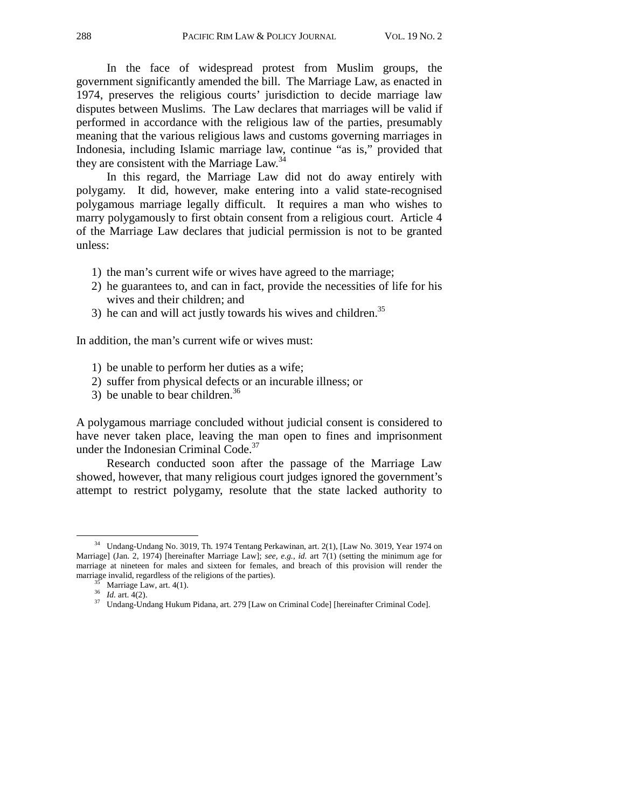In the face of widespread protest from Muslim groups, the government significantly amended the bill. The Marriage Law, as enacted in 1974, preserves the religious courts' jurisdiction to decide marriage law disputes between Muslims. The Law declares that marriages will be valid if performed in accordance with the religious law of the parties, presumably meaning that the various religious laws and customs governing marriages in Indonesia, including Islamic marriage law, continue "as is," provided that they are consistent with the Marriage Law.<sup>34</sup>

In this regard, the Marriage Law did not do away entirely with polygamy. It did, however, make entering into a valid state-recognised polygamous marriage legally difficult. It requires a man who wishes to marry polygamously to first obtain consent from a religious court. Article 4 of the Marriage Law declares that judicial permission is not to be granted unless:

- 1) the man's current wife or wives have agreed to the marriage;
- 2) he guarantees to, and can in fact, provide the necessities of life for his wives and their children; and
- 3) he can and will act justly towards his wives and children. $35$

In addition, the man's current wife or wives must:

- 1) be unable to perform her duties as a wife;
- 2) suffer from physical defects or an incurable illness; or
- 3) be unable to bear children.<sup>36</sup>

A polygamous marriage concluded without judicial consent is considered to have never taken place, leaving the man open to fines and imprisonment under the Indonesian Criminal Code.<sup>37</sup>

Research conducted soon after the passage of the Marriage Law showed, however, that many religious court judges ignored the government's attempt to restrict polygamy, resolute that the state lacked authority to

<sup>&</sup>lt;sup>34</sup> Undang-Undang No. 3019, Th. 1974 Tentang Perkawinan, art. 2(1), [Law No. 3019, Year 1974 on Marriage] (Jan. 2, 1974) [hereinafter Marriage Law]; *see, e.g., id.* art 7(1) (setting the minimum age for marriage at nineteen for males and sixteen for females, and breach of this provision will render the marriage invalid, regardless of the religions of the parties).<br>  $\frac{35}{36}$  Marriage Law, art. 4(1).<br>  $\frac{36}{16}$  art. 4(2).

<sup>&</sup>lt;sup>37</sup> Undang-Undang Hukum Pidana, art. 279 [Law on Criminal Code] [hereinafter Criminal Code].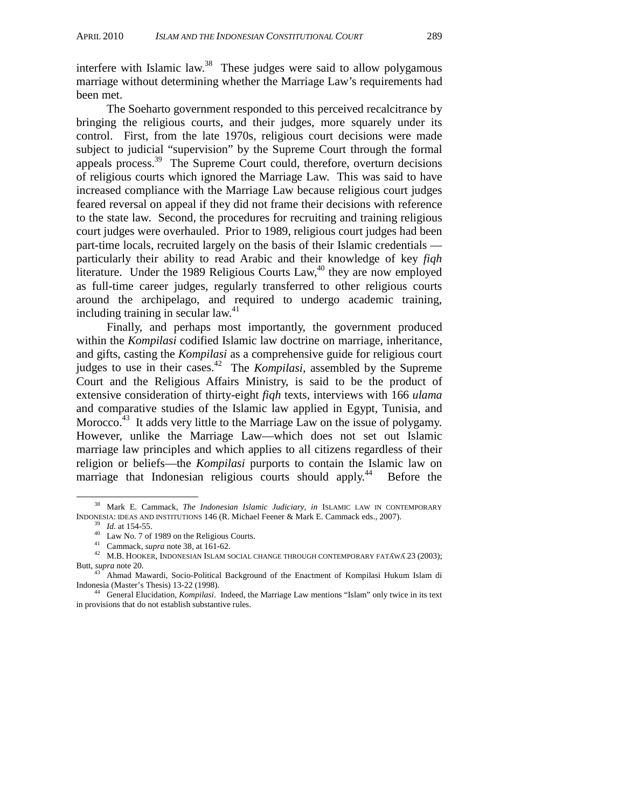interfere with Islamic law.<sup>38</sup> These judges were said to allow polygamous marriage without determining whether the Marriage Law's requirements had been met.

The Soeharto government responded to this perceived recalcitrance by bringing the religious courts, and their judges, more squarely under its control. First, from the late 1970s, religious court decisions were made subject to judicial "supervision" by the Supreme Court through the formal appeals process. $39$  The Supreme Court could, therefore, overturn decisions of religious courts which ignored the Marriage Law. This was said to have increased compliance with the Marriage Law because religious court judges feared reversal on appeal if they did not frame their decisions with reference to the state law. Second, the procedures for recruiting and training religious court judges were overhauled. Prior to 1989, religious court judges had been part-time locals, recruited largely on the basis of their Islamic credentials particularly their ability to read Arabic and their knowledge of key *fiqh* literature. Under the 1989 Religious Courts Law,  $40$  they are now employed as full-time career judges, regularly transferred to other religious courts around the archipelago, and required to undergo academic training, including training in secular law. $41$ 

Finally, and perhaps most importantly, the government produced within the *Kompilasi* codified Islamic law doctrine on marriage, inheritance, and gifts, casting the *Kompilasi* as a comprehensive guide for religious court judges to use in their cases.42 The *Kompilasi*, assembled by the Supreme Court and the Religious Affairs Ministry, is said to be the product of extensive consideration of thirty-eight *fiqh* texts, interviews with 166 *ulama*  and comparative studies of the Islamic law applied in Egypt, Tunisia, and Morocco.<sup>43</sup> It adds very little to the Marriage Law on the issue of polygamy. However, unlike the Marriage Law—which does not set out Islamic marriage law principles and which applies to all citizens regardless of their religion or beliefs—the *Kompilasi* purports to contain the Islamic law on marriage that Indonesian religious courts should apply.<sup>44</sup> Before the

 <sup>38</sup> Mark E. Cammack, *The Indonesian Islamic Judiciary, in* ISLAMIC LAW IN CONTEMPORARY INDONESIA: IDEAS AND INSTITUTIONS 146 (R. Michael Feener & Mark E. Cammack eds., 2007).<br><sup>39</sup> *Id.* at 154-55.<br><sup>40</sup> Law No. 7 of 1989 on the Religious Courts.<br><sup>41</sup> Cammack, *supra* note 38, at 161-62.

<sup>&</sup>lt;sup>42</sup> M.B. HOOKER, INDONESIAN ISLAM SOCIAL CHANGE THROUGH CONTEMPORARY FATAWA 23 (2003); Butt, *supra* note 20.

<sup>&</sup>lt;sup>43</sup> Ahmad Mawardi, Socio-Political Background of the Enactment of Kompilasi Hukum Islam di Indonesia (Master's Thesis) 13-22 (1998).

<sup>&</sup>lt;sup>44</sup> General Elucidation, *Kompilasi*. Indeed, the Marriage Law mentions "Islam" only twice in its text in provisions that do not establish substantive rules.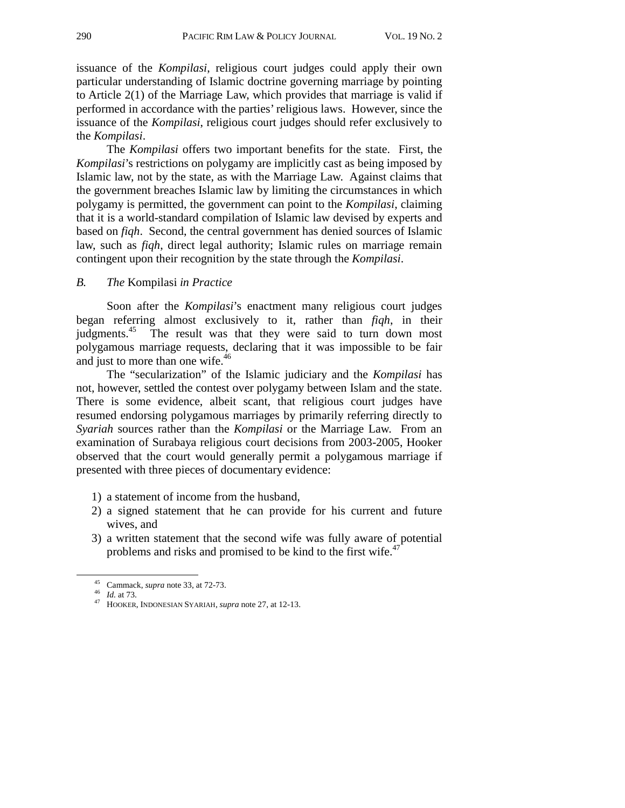issuance of the *Kompilasi*, religious court judges could apply their own particular understanding of Islamic doctrine governing marriage by pointing to Article 2(1) of the Marriage Law, which provides that marriage is valid if performed in accordance with the parties' religious laws. However, since the issuance of the *Kompilasi*, religious court judges should refer exclusively to the *Kompilasi*.

The *Kompilasi* offers two important benefits for the state. First, the *Kompilasi*'s restrictions on polygamy are implicitly cast as being imposed by Islamic law, not by the state, as with the Marriage Law. Against claims that the government breaches Islamic law by limiting the circumstances in which polygamy is permitted, the government can point to the *Kompilasi*, claiming that it is a world-standard compilation of Islamic law devised by experts and based on *fiqh*. Second, the central government has denied sources of Islamic law, such as *fiqh*, direct legal authority; Islamic rules on marriage remain contingent upon their recognition by the state through the *Kompilasi*.

#### *B. The* Kompilasi *in Practice*

Soon after the *Kompilasi*'s enactment many religious court judges began referring almost exclusively to it, rather than *fiqh*, in their judgments.<sup>45</sup> The result was that they were said to turn down most polygamous marriage requests, declaring that it was impossible to be fair and just to more than one wife.<sup>46</sup>

The "secularization" of the Islamic judiciary and the *Kompilasi* has not, however, settled the contest over polygamy between Islam and the state. There is some evidence, albeit scant, that religious court judges have resumed endorsing polygamous marriages by primarily referring directly to *Syariah* sources rather than the *Kompilasi* or the Marriage Law. From an examination of Surabaya religious court decisions from 2003-2005, Hooker observed that the court would generally permit a polygamous marriage if presented with three pieces of documentary evidence:

- 1) a statement of income from the husband,
- 2) a signed statement that he can provide for his current and future wives, and
- 3) a written statement that the second wife was fully aware of potential problems and risks and promised to be kind to the first wife.<sup>47</sup>

 <sup>45</sup> Cammack, *supra* note 33, at 72-73. 46 *Id.* at 73. 47 HOOKER, INDONESIAN SYARIAH, *supra* note 27, at 12-13.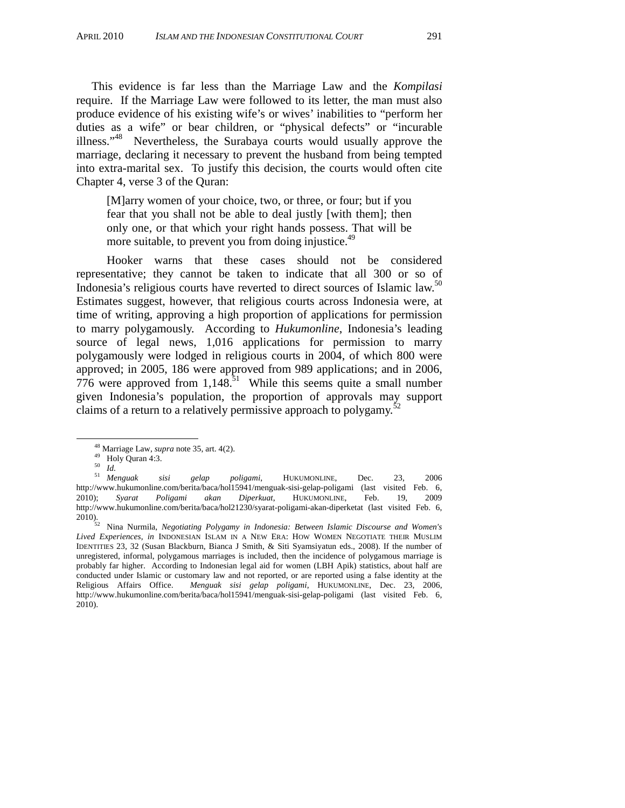This evidence is far less than the Marriage Law and the *Kompilasi*  require. If the Marriage Law were followed to its letter, the man must also produce evidence of his existing wife's or wives' inabilities to "perform her duties as a wife" or bear children, or "physical defects" or "incurable illness."48 Nevertheless, the Surabaya courts would usually approve the marriage, declaring it necessary to prevent the husband from being tempted into extra-marital sex. To justify this decision, the courts would often cite Chapter 4, verse 3 of the Quran:

[M]arry women of your choice, two, or three, or four; but if you fear that you shall not be able to deal justly [with them]; then only one, or that which your right hands possess. That will be more suitable, to prevent you from doing injustice.<sup>49</sup>

Hooker warns that these cases should not be considered representative; they cannot be taken to indicate that all 300 or so of Indonesia's religious courts have reverted to direct sources of Islamic law.50 Estimates suggest, however, that religious courts across Indonesia were, at time of writing, approving a high proportion of applications for permission to marry polygamously. According to *Hukumonline*, Indonesia's leading source of legal news, 1,016 applications for permission to marry polygamously were lodged in religious courts in 2004, of which 800 were approved; in 2005, 186 were approved from 989 applications; and in 2006,  $776$  were approved from  $1,148$ <sup>51</sup>. While this seems quite a small number given Indonesia's population, the proportion of approvals may support claims of a return to a relatively permissive approach to polygamy.<sup>52</sup>

<sup>50</sup> *Id.* <sup>51</sup> *Menguak sisi gelap poligami*, HUKUMONLINE, Dec. 23, 2006 <sup>51</sup> Menguak sisi gelap poligami, HUKUMONLINE, Dec. 23, 2006<br>http://www.hukumonline.com/berita/baca/hol15941/menguak-sisi-gelap-poligami (last visited Feb. 6, 2010); *Syarat Poligami akan Diperkuat*, HUKUMONLINE, Feb. 19, 2009 http://www.hukumonline.com/berita/baca/hol21230/syarat-poligami-akan-diperketat (last visited Feb. 6, 2010).

2010). 52 Nina Nurmila, *Negotiating Polygamy in Indonesia: Between Islamic Discourse and Women's Lived Experiences*, *in* INDONESIAN ISLAM IN A NEW ERA: HOW WOMEN NEGOTIATE THEIR MUSLIM IDENTITIES 23, 32 (Susan Blackburn, Bianca J Smith, & Siti Syamsiyatun eds., 2008). If the number of unregistered, informal, polygamous marriages is included, then the incidence of polygamous marriage is probably far higher. According to Indonesian legal aid for women (LBH Apik) statistics, about half are conducted under Islamic or customary law and not reported, or are reported using a false identity at the Religious Affairs Office. *Menguak sisi gelap poligami*, HUKUMONLINE, Dec. 23, 2006, http://www.hukumonline.com/berita/baca/hol15941/menguak-sisi-gelap-poligami (last visited Feb. 6, 2010).

<sup>&</sup>lt;sup>48</sup> Marriage Law, *supra* note 35, art. 4(2).<br><sup>49</sup> Holy Quran 4:3.<br><sup>50</sup> Id.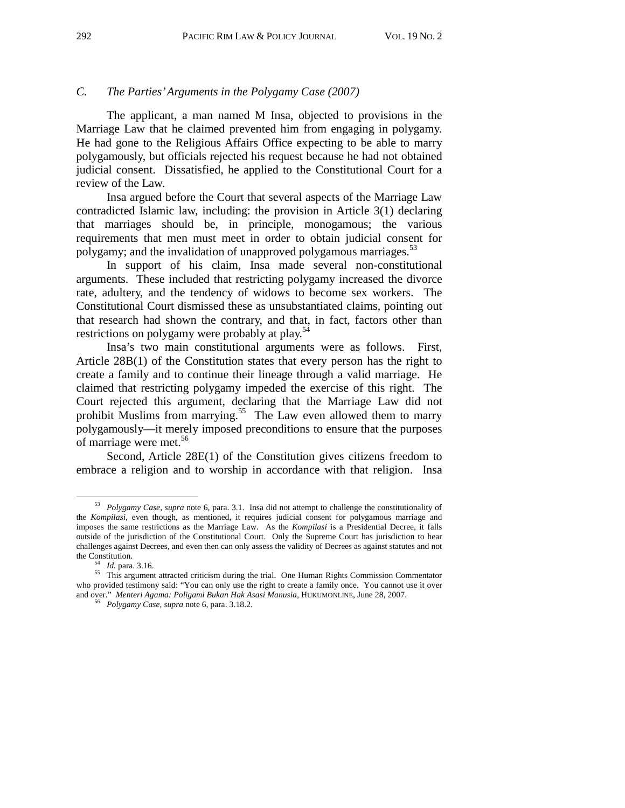## *C. The Parties' Arguments in the Polygamy Case (2007)*

The applicant, a man named M Insa, objected to provisions in the Marriage Law that he claimed prevented him from engaging in polygamy. He had gone to the Religious Affairs Office expecting to be able to marry polygamously, but officials rejected his request because he had not obtained judicial consent. Dissatisfied, he applied to the Constitutional Court for a review of the Law.

Insa argued before the Court that several aspects of the Marriage Law contradicted Islamic law, including: the provision in Article 3(1) declaring that marriages should be, in principle, monogamous; the various requirements that men must meet in order to obtain judicial consent for polygamy; and the invalidation of unapproved polygamous marriages.<sup>53</sup>

In support of his claim, Insa made several non-constitutional arguments. These included that restricting polygamy increased the divorce rate, adultery, and the tendency of widows to become sex workers. The Constitutional Court dismissed these as unsubstantiated claims, pointing out that research had shown the contrary, and that, in fact, factors other than restrictions on polygamy were probably at play.<sup>54</sup>

Insa's two main constitutional arguments were as follows. First, Article 28B(1) of the Constitution states that every person has the right to create a family and to continue their lineage through a valid marriage. He claimed that restricting polygamy impeded the exercise of this right. The Court rejected this argument, declaring that the Marriage Law did not prohibit Muslims from marrying.<sup>55</sup> The Law even allowed them to marry polygamously—it merely imposed preconditions to ensure that the purposes of marriage were met.<sup>56</sup>

Second, Article 28E(1) of the Constitution gives citizens freedom to embrace a religion and to worship in accordance with that religion. Insa

 <sup>53</sup> *Polygamy Case*, *supra* note 6, para. 3.1. Insa did not attempt to challenge the constitutionality of the *Kompilasi*, even though, as mentioned, it requires judicial consent for polygamous marriage and imposes the same restrictions as the Marriage Law*.* As the *Kompilasi* is a Presidential Decree, it falls outside of the jurisdiction of the Constitutional Court. Only the Supreme Court has jurisdiction to hear challenges against Decrees, and even then can only assess the validity of Decrees as against statutes and not

<sup>&</sup>lt;sup>54</sup> *Id.* para. 3.16. 55 This argument attracted criticism during the trial. One Human Rights Commission Commentator who provided testimony said: "You can only use the right to create a family once. You cannot use it over and over." *Menteri Agama: Poligami Bukan Hak Asasi Manusia*, HUKUMONLINE, June 28, 2007. 56 *Polygamy Case*, *supra* note 6, para. 3.18.2.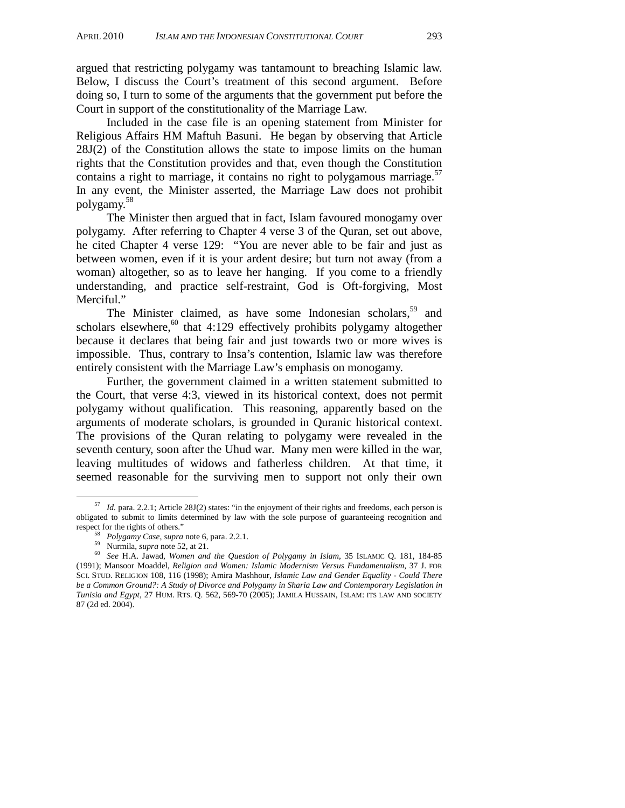argued that restricting polygamy was tantamount to breaching Islamic law. Below, I discuss the Court's treatment of this second argument. Before doing so, I turn to some of the arguments that the government put before the Court in support of the constitutionality of the Marriage Law.

Included in the case file is an opening statement from Minister for Religious Affairs HM Maftuh Basuni. He began by observing that Article 28J(2) of the Constitution allows the state to impose limits on the human rights that the Constitution provides and that, even though the Constitution contains a right to marriage, it contains no right to polygamous marriage.<sup>57</sup> In any event, the Minister asserted, the Marriage Law does not prohibit polygamy.<sup>58</sup>

The Minister then argued that in fact, Islam favoured monogamy over polygamy. After referring to Chapter 4 verse 3 of the Quran, set out above, he cited Chapter 4 verse 129: "You are never able to be fair and just as between women, even if it is your ardent desire; but turn not away (from a woman) altogether, so as to leave her hanging. If you come to a friendly understanding, and practice self-restraint, God is Oft-forgiving, Most Merciful."

The Minister claimed, as have some Indonesian scholars,<sup>59</sup> and scholars elsewhere, $60$  that 4:129 effectively prohibits polygamy altogether because it declares that being fair and just towards two or more wives is impossible. Thus, contrary to Insa's contention, Islamic law was therefore entirely consistent with the Marriage Law's emphasis on monogamy.

Further, the government claimed in a written statement submitted to the Court, that verse 4:3, viewed in its historical context, does not permit polygamy without qualification. This reasoning, apparently based on the arguments of moderate scholars, is grounded in Quranic historical context. The provisions of the Quran relating to polygamy were revealed in the seventh century, soon after the Uhud war. Many men were killed in the war, leaving multitudes of widows and fatherless children. At that time, it seemed reasonable for the surviving men to support not only their own

 <sup>57</sup> *Id.* para. 2.2.1; Article 28J(2) states: "in the enjoyment of their rights and freedoms, each person is obligated to submit to limits determined by law with the sole purpose of guaranteeing recognition and respect for the rights of others."<br>
<sup>58</sup> Polygamy Case, supra note 6, para. 2.2.1.<br>
<sup>59</sup> Nurmila, *supra* note 52, at 21.<br>
<sup>60</sup> See H.A. Jawad, *Women and the Question of Polygamy in Islam*, 35 ISLAMIC Q. 181, 184-85

<sup>(1991);</sup> Mansoor Moaddel, *Religion and Women: Islamic Modernism Versus Fundamentalism*, 37 J. FOR SCI. STUD. RELIGION 108, 116 (1998); Amira Mashhour, *Islamic Law and Gender Equality - Could There be a Common Ground?: A Study of Divorce and Polygamy in Sharia Law and Contemporary Legislation in Tunisia and Egypt*, 27 HUM. RTS. Q. 562, 569-70 (2005); JAMILA HUSSAIN, ISLAM: ITS LAW AND SOCIETY 87 (2d ed. 2004).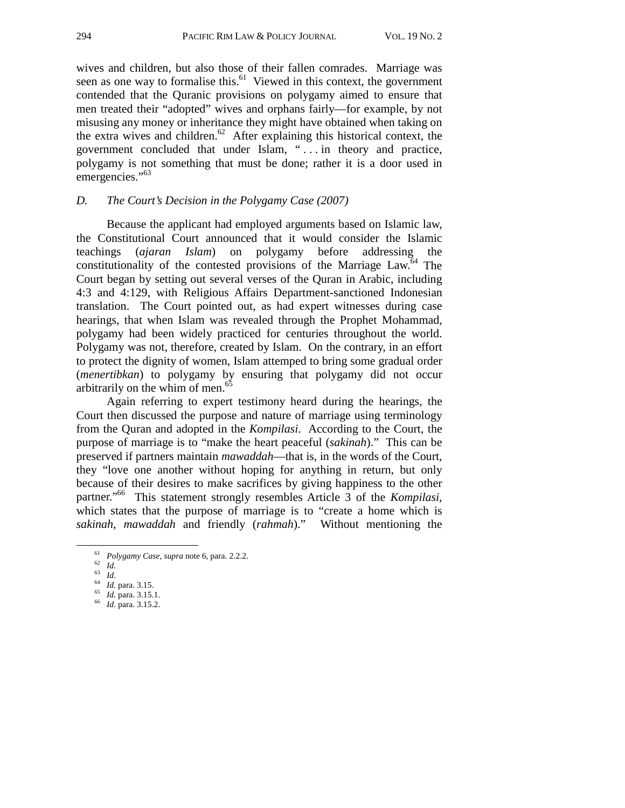wives and children, but also those of their fallen comrades. Marriage was seen as one way to formalise this.<sup>61</sup> Viewed in this context, the government contended that the Quranic provisions on polygamy aimed to ensure that men treated their "adopted" wives and orphans fairly—for example, by not misusing any money or inheritance they might have obtained when taking on the extra wives and children. $62$  After explaining this historical context, the government concluded that under Islam, " . . . in theory and practice, polygamy is not something that must be done; rather it is a door used in emergencies."<sup>63</sup>

#### *D. The Court's Decision in the Polygamy Case (2007)*

Because the applicant had employed arguments based on Islamic law, the Constitutional Court announced that it would consider the Islamic teachings (*ajaran Islam*) on polygamy before addressing the constitutionality of the contested provisions of the Marriage  $Law<sup>64</sup>$ . The Court began by setting out several verses of the Quran in Arabic, including 4:3 and 4:129, with Religious Affairs Department-sanctioned Indonesian translation. The Court pointed out, as had expert witnesses during case hearings, that when Islam was revealed through the Prophet Mohammad, polygamy had been widely practiced for centuries throughout the world. Polygamy was not, therefore, created by Islam. On the contrary, in an effort to protect the dignity of women, Islam attemped to bring some gradual order (*menertibkan*) to polygamy by ensuring that polygamy did not occur arbitrarily on the whim of men.<sup>65</sup>

Again referring to expert testimony heard during the hearings, the Court then discussed the purpose and nature of marriage using terminology from the Quran and adopted in the *Kompilasi*. According to the Court, the purpose of marriage is to "make the heart peaceful (*sakinah*)." This can be preserved if partners maintain *mawaddah*—that is, in the words of the Court, they "love one another without hoping for anything in return, but only because of their desires to make sacrifices by giving happiness to the other partner."66 This statement strongly resembles Article 3 of the *Kompilasi*, which states that the purpose of marriage is to "create a home which is *sakinah*, *mawaddah* and friendly (*rahmah*)." Without mentioning the

<sup>61</sup> *Polygamy Case*, *supra* note 6, para. 2.2.2.<br>
62 *Id.*<br>
64 *Id.* para. 3.15.<br>
65 *Id.* para. 3.15.1. 66 *Id.* para. 3.15.2.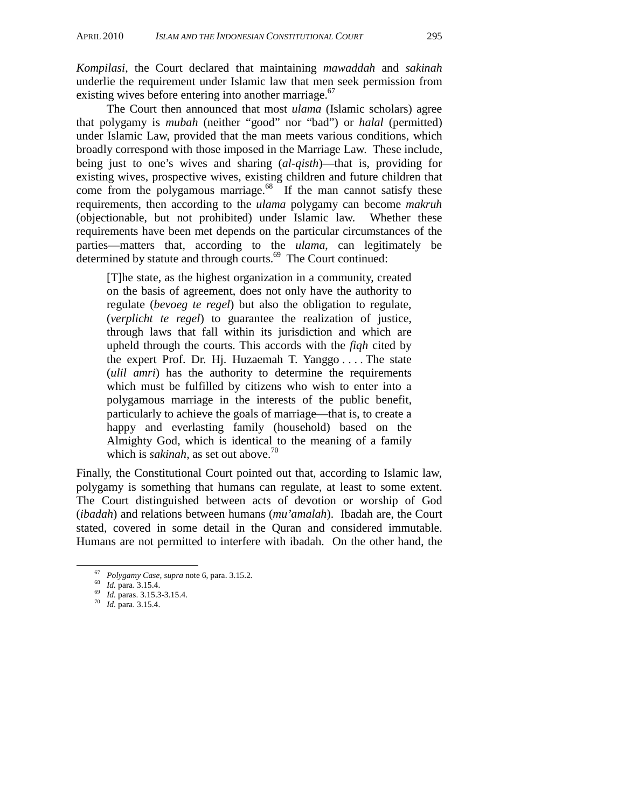*Kompilasi*, the Court declared that maintaining *mawaddah* and *sakinah* underlie the requirement under Islamic law that men seek permission from existing wives before entering into another marriage. $67$ 

The Court then announced that most *ulama* (Islamic scholars) agree that polygamy is *mubah* (neither "good" nor "bad") or *halal* (permitted) under Islamic Law, provided that the man meets various conditions, which broadly correspond with those imposed in the Marriage Law. These include, being just to one's wives and sharing (*al-qisth*)—that is, providing for existing wives, prospective wives, existing children and future children that come from the polygamous marriage.<sup>68</sup> If the man cannot satisfy these requirements, then according to the *ulama* polygamy can become *makruh* (objectionable, but not prohibited) under Islamic law. Whether these requirements have been met depends on the particular circumstances of the parties—matters that, according to the *ulama*, can legitimately be determined by statute and through courts.<sup>69</sup> The Court continued:

[T]he state, as the highest organization in a community, created on the basis of agreement, does not only have the authority to regulate (*bevoeg te regel*) but also the obligation to regulate, (*verplicht te regel*) to guarantee the realization of justice, through laws that fall within its jurisdiction and which are upheld through the courts. This accords with the *fiqh* cited by the expert Prof. Dr. Hj. Huzaemah T. Yanggo . . . . The state (*ulil amri*) has the authority to determine the requirements which must be fulfilled by citizens who wish to enter into a polygamous marriage in the interests of the public benefit, particularly to achieve the goals of marriage—that is, to create a happy and everlasting family (household) based on the Almighty God, which is identical to the meaning of a family which is *sakinah*, as set out above.<sup>70</sup>

Finally, the Constitutional Court pointed out that, according to Islamic law, polygamy is something that humans can regulate, at least to some extent. The Court distinguished between acts of devotion or worship of God (*ibadah*) and relations between humans (*mu'amalah*). Ibadah are, the Court stated, covered in some detail in the Quran and considered immutable. Humans are not permitted to interfere with ibadah. On the other hand, the

<sup>67</sup> *Polygamy Case*, *supra* note 6, para. 3.15.2*.*<sup>68</sup> *Id.* para. 3.15.4. 69 *Id.* paras. 3.15.3-3.15.4. 70 *Id.* para. 3.15.4.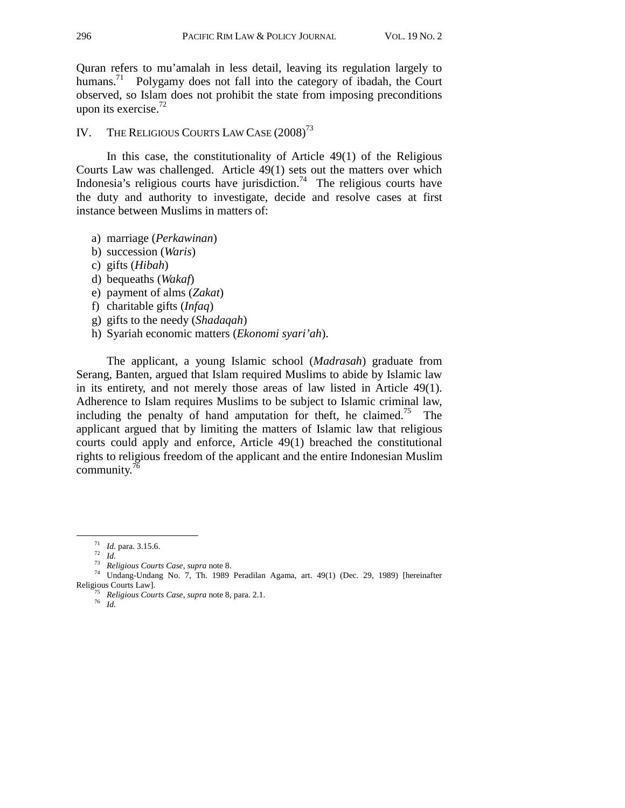Quran refers to mu'amalah in less detail, leaving its regulation largely to humans.<sup>71</sup> Polygamy does not fall into the category of ibadah, the Court observed, so Islam does not prohibit the state from imposing preconditions upon its exercise. $72$ 

IV. THE RELIGIOUS COURTS LAW CASE  $(2008)^{73}$ 

In this case, the constitutionality of Article 49(1) of the Religious Courts Law was challenged. Article 49(1) sets out the matters over which Indonesia's religious courts have jurisdiction.<sup>74</sup> The religious courts have the duty and authority to investigate, decide and resolve cases at first instance between Muslims in matters of:

- a) marriage (*Perkawinan*)
- b) succession (*Waris*)
- c) gifts (*Hibah*)
- d) bequeaths (*Wakaf*)
- e) payment of alms (*Zakat*)
- f) charitable gifts (*Infaq*)
- g) gifts to the needy (*Shadaqah*)
- h) Syariah economic matters (*Ekonomi syari'ah*).

The applicant, a young Islamic school (*Madrasah*) graduate from Serang, Banten, argued that Islam required Muslims to abide by Islamic law in its entirety, and not merely those areas of law listed in Article 49(1). Adherence to Islam requires Muslims to be subject to Islamic criminal law, including the penalty of hand amputation for theft, he claimed.<sup>75</sup> The applicant argued that by limiting the matters of Islamic law that religious courts could apply and enforce, Article 49(1) breached the constitutional rights to religious freedom of the applicant and the entire Indonesian Muslim community.76

<sup>71</sup> *Id.* para. 3.15.6. 72 *Id.* <sup>73</sup> *Religious Courts Case*, *supra* note 8. 74 Undang-Undang No. 7, Th. 1989 Peradilan Agama, art. 49(1) (Dec. 29, 1989) [hereinafter

Religious Courts Law]. 75 *Religious Courts Case*, *supra* note 8, para. 2.1. 76 *Id.*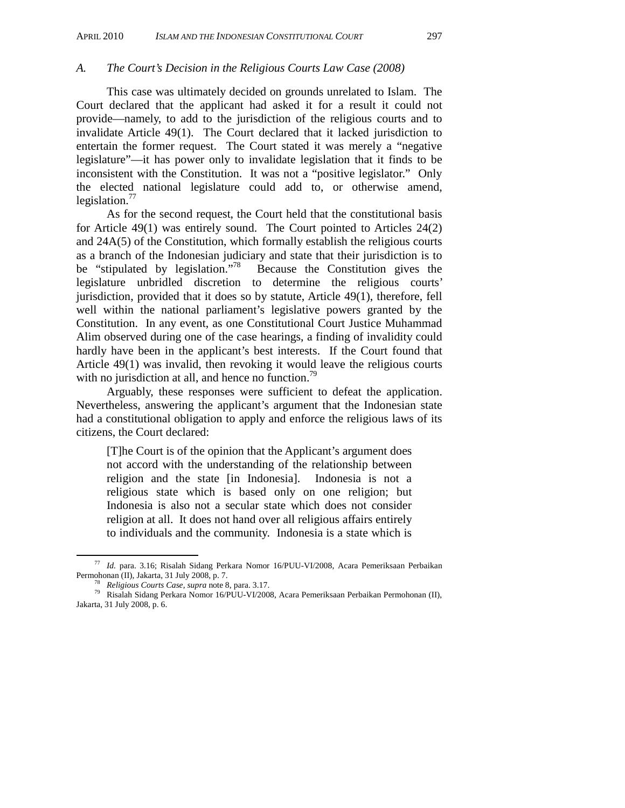#### *A. The Court's Decision in the Religious Courts Law Case (2008)*

This case was ultimately decided on grounds unrelated to Islam. The Court declared that the applicant had asked it for a result it could not provide—namely, to add to the jurisdiction of the religious courts and to invalidate Article 49(1). The Court declared that it lacked jurisdiction to entertain the former request. The Court stated it was merely a "negative legislature"—it has power only to invalidate legislation that it finds to be inconsistent with the Constitution. It was not a "positive legislator." Only the elected national legislature could add to, or otherwise amend, legislation. $^{77}$ 

As for the second request, the Court held that the constitutional basis for Article 49(1) was entirely sound. The Court pointed to Articles 24(2) and 24A(5) of the Constitution, which formally establish the religious courts as a branch of the Indonesian judiciary and state that their jurisdiction is to be "stipulated by legislation."<sup>78</sup> Because the Constitution gives the legislature unbridled discretion to determine the religious courts' jurisdiction, provided that it does so by statute, Article 49(1), therefore, fell well within the national parliament's legislative powers granted by the Constitution. In any event, as one Constitutional Court Justice Muhammad Alim observed during one of the case hearings, a finding of invalidity could hardly have been in the applicant's best interests. If the Court found that Article 49(1) was invalid, then revoking it would leave the religious courts with no jurisdiction at all, and hence no function.<sup>79</sup>

Arguably, these responses were sufficient to defeat the application. Nevertheless, answering the applicant's argument that the Indonesian state had a constitutional obligation to apply and enforce the religious laws of its citizens, the Court declared:

[T]he Court is of the opinion that the Applicant's argument does not accord with the understanding of the relationship between religion and the state [in Indonesia]. Indonesia is not a religious state which is based only on one religion; but Indonesia is also not a secular state which does not consider religion at all. It does not hand over all religious affairs entirely to individuals and the community. Indonesia is a state which is

 <sup>77</sup> *Id.* para. 3.16; Risalah Sidang Perkara Nomor 16/PUU-VI/2008, Acara Pemeriksaan Perbaikan Permohonan (II), Jakarta, 31 July 2008, p. 7. 78 *Religious Courts Case*, *supra* note 8, para. 3.17. 79 Risalah Sidang Perkara Nomor 16/PUU-VI/2008, Acara Pemeriksaan Perbaikan Permohonan (II),

Jakarta, 31 July 2008, p. 6.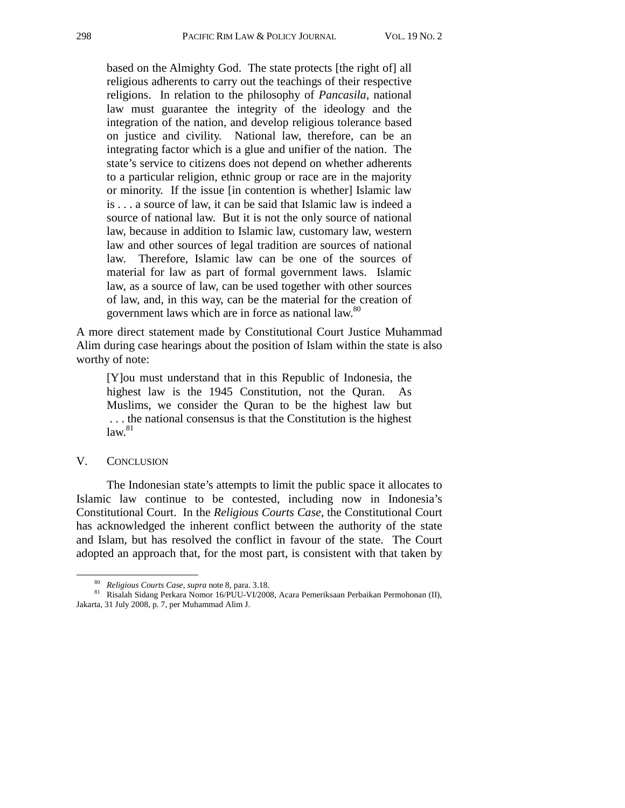based on the Almighty God. The state protects [the right of] all religious adherents to carry out the teachings of their respective religions. In relation to the philosophy of *Pancasila*, national law must guarantee the integrity of the ideology and the integration of the nation, and develop religious tolerance based on justice and civility. National law, therefore, can be an integrating factor which is a glue and unifier of the nation. The state's service to citizens does not depend on whether adherents to a particular religion, ethnic group or race are in the majority or minority. If the issue [in contention is whether] Islamic law is . . . a source of law, it can be said that Islamic law is indeed a source of national law. But it is not the only source of national law, because in addition to Islamic law, customary law, western law and other sources of legal tradition are sources of national law. Therefore, Islamic law can be one of the sources of material for law as part of formal government laws. Islamic law, as a source of law, can be used together with other sources of law, and, in this way, can be the material for the creation of government laws which are in force as national law.<sup>80</sup>

A more direct statement made by Constitutional Court Justice Muhammad Alim during case hearings about the position of Islam within the state is also worthy of note:

[Y]ou must understand that in this Republic of Indonesia, the highest law is the 1945 Constitution, not the Quran. As Muslims, we consider the Quran to be the highest law but . . . the national consensus is that the Constitution is the highest  $law.<sup>81</sup>$ 

### V. CONCLUSION

The Indonesian state's attempts to limit the public space it allocates to Islamic law continue to be contested, including now in Indonesia's Constitutional Court. In the *Religious Courts Case*, the Constitutional Court has acknowledged the inherent conflict between the authority of the state and Islam, but has resolved the conflict in favour of the state. The Court adopted an approach that, for the most part, is consistent with that taken by

<sup>&</sup>lt;sup>80</sup> *Religious Courts Case*, *supra* note 8, para. 3.18.<br><sup>81</sup> Risalah Sidang Perkara Nomor 16/PUU-VI/2008, Acara Pemeriksaan Perbaikan Permohonan (II), Jakarta, 31 July 2008, p. 7, per Muhammad Alim J.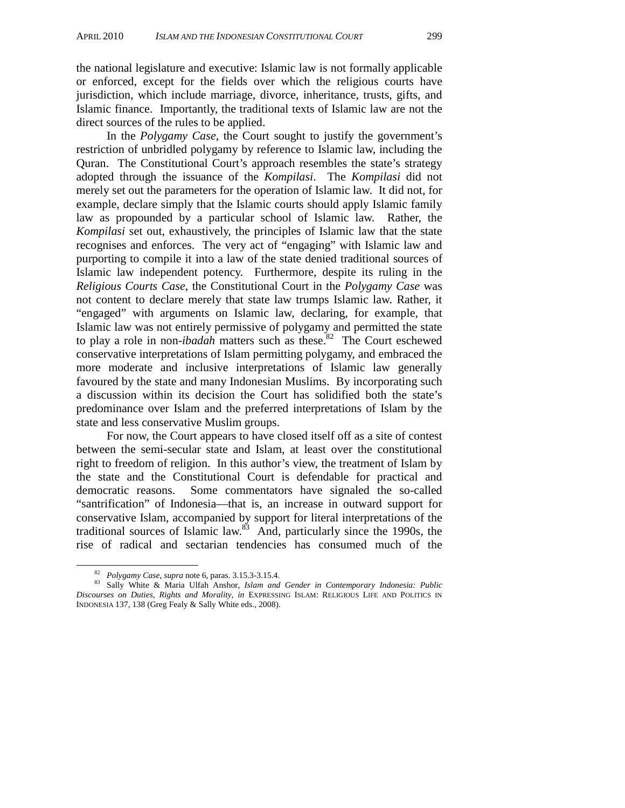the national legislature and executive: Islamic law is not formally applicable or enforced, except for the fields over which the religious courts have jurisdiction, which include marriage, divorce, inheritance, trusts, gifts, and Islamic finance. Importantly, the traditional texts of Islamic law are not the direct sources of the rules to be applied.

In the *Polygamy Case*, the Court sought to justify the government's restriction of unbridled polygamy by reference to Islamic law, including the Quran. The Constitutional Court's approach resembles the state's strategy adopted through the issuance of the *Kompilasi*. The *Kompilasi* did not merely set out the parameters for the operation of Islamic law. It did not, for example, declare simply that the Islamic courts should apply Islamic family law as propounded by a particular school of Islamic law. Rather, the *Kompilasi* set out, exhaustively, the principles of Islamic law that the state recognises and enforces. The very act of "engaging" with Islamic law and purporting to compile it into a law of the state denied traditional sources of Islamic law independent potency. Furthermore, despite its ruling in the *Religious Courts Case*, the Constitutional Court in the *Polygamy Case* was not content to declare merely that state law trumps Islamic law. Rather, it "engaged" with arguments on Islamic law, declaring, for example, that Islamic law was not entirely permissive of polygamy and permitted the state to play a role in non-*ibadah* matters such as these.<sup>82</sup> The Court eschewed conservative interpretations of Islam permitting polygamy, and embraced the more moderate and inclusive interpretations of Islamic law generally favoured by the state and many Indonesian Muslims. By incorporating such a discussion within its decision the Court has solidified both the state's predominance over Islam and the preferred interpretations of Islam by the state and less conservative Muslim groups.

For now, the Court appears to have closed itself off as a site of contest between the semi-secular state and Islam, at least over the constitutional right to freedom of religion. In this author's view, the treatment of Islam by the state and the Constitutional Court is defendable for practical and democratic reasons. Some commentators have signaled the so-called "santrification" of Indonesia—that is, an increase in outward support for conservative Islam, accompanied by support for literal interpretations of the traditional sources of Islamic law. $83$  And, particularly since the 1990s, the rise of radical and sectarian tendencies has consumed much of the

<sup>82</sup> *Polygamy Case*, *supra* note 6, paras. 3.15.3-3.15.4. 83 Sally White & Maria Ulfah Anshor, *Islam and Gender in Contemporary Indonesia: Public Discourses on Duties, Rights and Morality, in* EXPRESSING ISLAM: RELIGIOUS LIFE AND POLITICS IN INDONESIA 137, 138 (Greg Fealy & Sally White eds., 2008).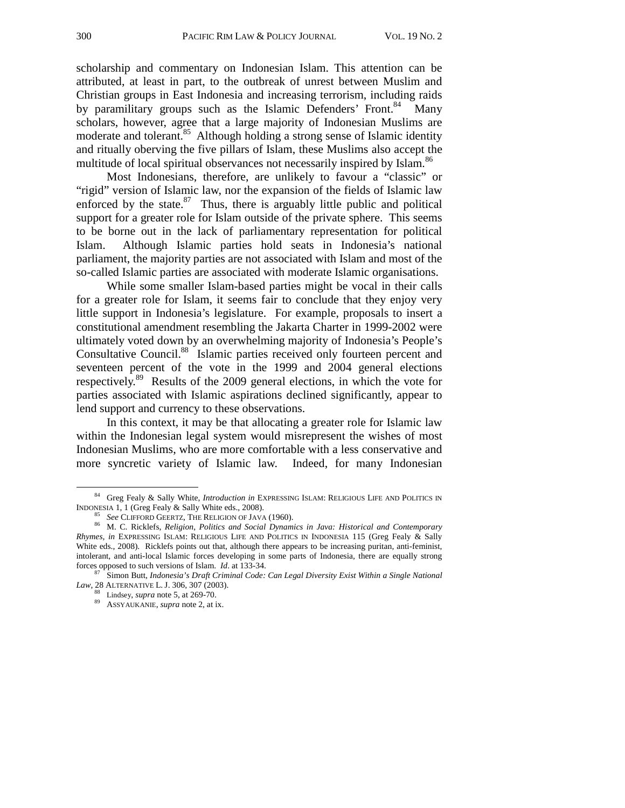scholarship and commentary on Indonesian Islam. This attention can be attributed, at least in part, to the outbreak of unrest between Muslim and Christian groups in East Indonesia and increasing terrorism, including raids by paramilitary groups such as the Islamic Defenders' Front.<sup>84</sup> Many scholars, however, agree that a large majority of Indonesian Muslims are moderate and tolerant.<sup>85</sup> Although holding a strong sense of Islamic identity and ritually oberving the five pillars of Islam, these Muslims also accept the multitude of local spiritual observances not necessarily inspired by Islam.<sup>86</sup>

Most Indonesians, therefore, are unlikely to favour a "classic" or "rigid" version of Islamic law, nor the expansion of the fields of Islamic law enforced by the state. $87$  Thus, there is arguably little public and political support for a greater role for Islam outside of the private sphere. This seems to be borne out in the lack of parliamentary representation for political Islam. Although Islamic parties hold seats in Indonesia's national parliament, the majority parties are not associated with Islam and most of the so-called Islamic parties are associated with moderate Islamic organisations.

While some smaller Islam-based parties might be vocal in their calls for a greater role for Islam, it seems fair to conclude that they enjoy very little support in Indonesia's legislature. For example, proposals to insert a constitutional amendment resembling the Jakarta Charter in 1999-2002 were ultimately voted down by an overwhelming majority of Indonesia's People's Consultative Council.<sup>88</sup> Islamic parties received only fourteen percent and seventeen percent of the vote in the 1999 and 2004 general elections respectively.89 Results of the 2009 general elections, in which the vote for parties associated with Islamic aspirations declined significantly, appear to lend support and currency to these observations.

In this context, it may be that allocating a greater role for Islamic law within the Indonesian legal system would misrepresent the wishes of most Indonesian Muslims, who are more comfortable with a less conservative and more syncretic variety of Islamic law. Indeed, for many Indonesian

<sup>&</sup>lt;sup>84</sup> Greg Fealy & Sally White, *Introduction in* EXPRESSING ISLAM: RELIGIOUS LIFE AND POLITICS IN

INDONESIA 1, 1 (Greg Fealy & Sally White eds., 2008). 85 *See* CLIFFORD GEERTZ, THE RELIGION OF JAVA (1960). 86 M. C. Ricklefs, *Religion, Politics and Social Dynamics in Java: Historical and Contemporary Rhymes, in* EXPRESSING ISLAM: RELIGIOUS LIFE AND POLITICS IN INDONESIA 115 (Greg Fealy & Sally White eds., 2008). Ricklefs points out that, although there appears to be increasing puritan, anti-feminist, intolerant, and anti-local Islamic forces developing in some parts of Indonesia, there are equally strong forces opposed to such versions of Islam. *Id.* at 133-34.

<sup>&</sup>lt;sup>8/</sup> Simon Butt, *Indonesia's Draft Criminal Code: Can Legal Diversity Exist Within a Single National Law*, 28 ALTERNATIVE L. J. 306, 307 (2003).

<sup>&</sup>lt;sup>88</sup> Lindsey, *supra* note 5, at 269-70.<br><sup>89</sup> ASSYAUKANIE, *supra* note 2, at ix.